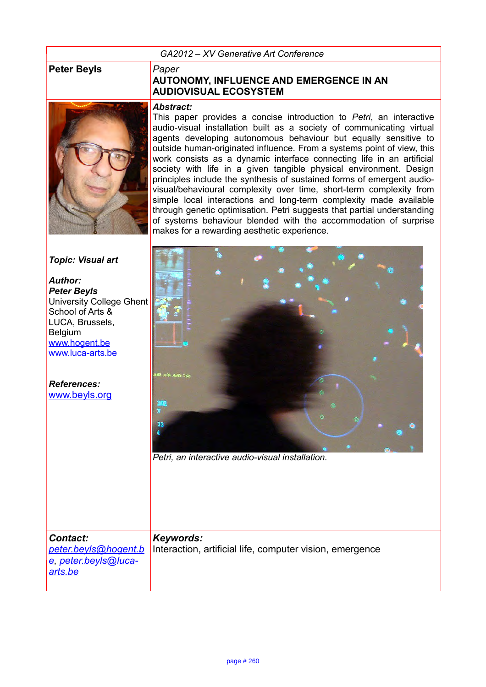#### *GA2012 – XV Generative Art Conference*

#### **Peter Beyls** *Paper*

*Author: Peter Beyls*

Belgium

*References:*



## **AUTONOMY, INFLUENCE AND EMERGENCE IN AN AUDIOVISUAL ECOSYSTEM**

#### *Abstract:*

This paper provides a concise introduction to *Petri*, an interactive audio-visual installation built as a society of communicating virtual agents developing autonomous behaviour but equally sensitive to outside human-originated influence. From a systems point of view, this work consists as a dynamic interface connecting life in an artificial society with life in a given tangible physical environment. Design principles include the synthesis of sustained forms of emergent audiovisual/behavioural complexity over time, short-term complexity from simple local interactions and long-term complexity made available through genetic optimisation. Petri suggests that partial understanding of systems behaviour blended with the accommodation of surprise makes for a rewarding aesthetic experience.



*[e,](mailto:peter.beyls@hogent.be) [peter.beyls@luca](mailto:peter.beyls@luca-arts.be)[arts.be](mailto:peter.beyls@luca-arts.be)*

*Contact:*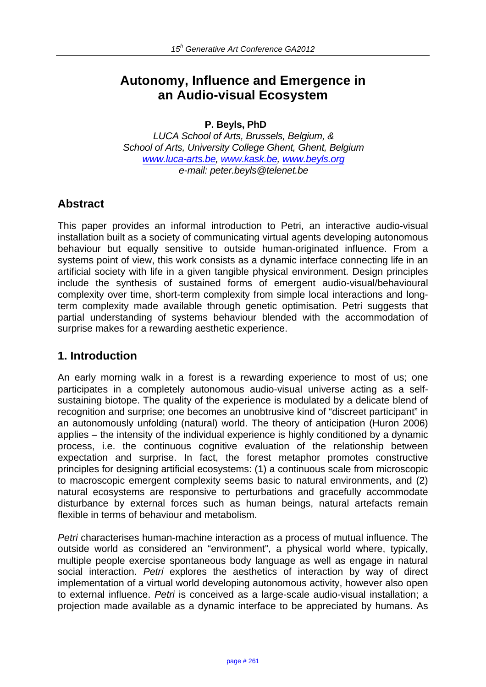# **Autonomy, Influence and Emergence in an Audio-visual Ecosystem**

**P. Beyls, PhD**

*LUCA School of Arts, Brussels, Belgium, & School of Arts, University College Ghent, Ghent, Belgium www.luca-arts.be, www.kask.be, www.beyls.org e-mail: peter.beyls@telenet.be*

## **Abstract**

This paper provides an informal introduction to Petri, an interactive audio-visual installation built as a society of communicating virtual agents developing autonomous behaviour but equally sensitive to outside human-originated influence. From a systems point of view, this work consists as a dynamic interface connecting life in an artificial society with life in a given tangible physical environment. Design principles include the synthesis of sustained forms of emergent audio-visual/behavioural complexity over time, short-term complexity from simple local interactions and longterm complexity made available through genetic optimisation. Petri suggests that partial understanding of systems behaviour blended with the accommodation of surprise makes for a rewarding aesthetic experience.

#### **1. Introduction**

An early morning walk in a forest is a rewarding experience to most of us; one participates in a completely autonomous audio-visual universe acting as a selfsustaining biotope. The quality of the experience is modulated by a delicate blend of recognition and surprise; one becomes an unobtrusive kind of "discreet participant" in an autonomously unfolding (natural) world. The theory of anticipation (Huron 2006) applies – the intensity of the individual experience is highly conditioned by a dynamic process, i.e. the continuous cognitive evaluation of the relationship between expectation and surprise. In fact, the forest metaphor promotes constructive principles for designing artificial ecosystems: (1) a continuous scale from microscopic to macroscopic emergent complexity seems basic to natural environments, and (2) natural ecosystems are responsive to perturbations and gracefully accommodate disturbance by external forces such as human beings, natural artefacts remain flexible in terms of behaviour and metabolism.

*Petri* characterises human-machine interaction as a process of mutual influence. The outside world as considered an "environment", a physical world where, typically, multiple people exercise spontaneous body language as well as engage in natural social interaction. *Petri* explores the aesthetics of interaction by way of direct implementation of a virtual world developing autonomous activity, however also open to external influence. *Petri* is conceived as a large-scale audio-visual installation; a projection made available as a dynamic interface to be appreciated by humans. As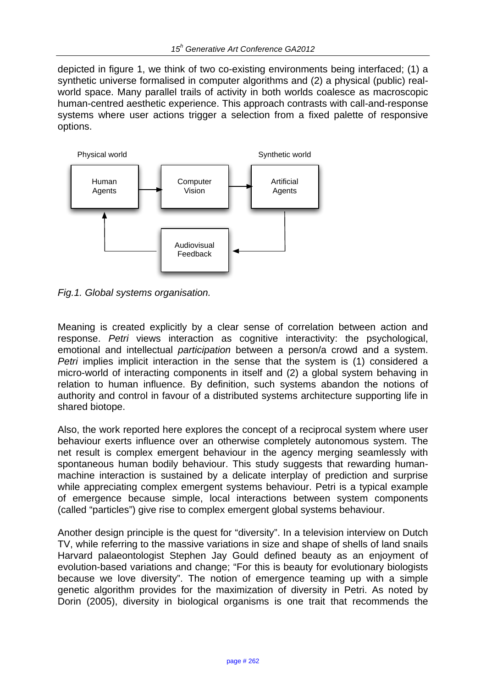depicted in figure 1, we think of two co-existing environments being interfaced; (1) a synthetic universe formalised in computer algorithms and (2) a physical (public) realworld space. Many parallel trails of activity in both worlds coalesce as macroscopic human-centred aesthetic experience. This approach contrasts with call-and-response systems where user actions trigger a selection from a fixed palette of responsive options.



*Fig.1. Global systems organisation.* 

Meaning is created explicitly by a clear sense of correlation between action and response. *Petri* views interaction as cognitive interactivity: the psychological, emotional and intellectual *participation* between a person/a crowd and a system. *Petri* implies implicit interaction in the sense that the system is (1) considered a micro-world of interacting components in itself and (2) a global system behaving in relation to human influence. By definition, such systems abandon the notions of authority and control in favour of a distributed systems architecture supporting life in shared biotope.

Also, the work reported here explores the concept of a reciprocal system where user behaviour exerts influence over an otherwise completely autonomous system. The net result is complex emergent behaviour in the agency merging seamlessly with spontaneous human bodily behaviour. This study suggests that rewarding humanmachine interaction is sustained by a delicate interplay of prediction and surprise while appreciating complex emergent systems behaviour. Petri is a typical example of emergence because simple, local interactions between system components (called "particles") give rise to complex emergent global systems behaviour.

Another design principle is the quest for "diversity". In a television interview on Dutch TV, while referring to the massive variations in size and shape of shells of land snails Harvard palaeontologist Stephen Jay Gould defined beauty as an enjoyment of evolution-based variations and change; "For this is beauty for evolutionary biologists because we love diversity". The notion of emergence teaming up with a simple genetic algorithm provides for the maximization of diversity in Petri. As noted by Dorin (2005), diversity in biological organisms is one trait that recommends the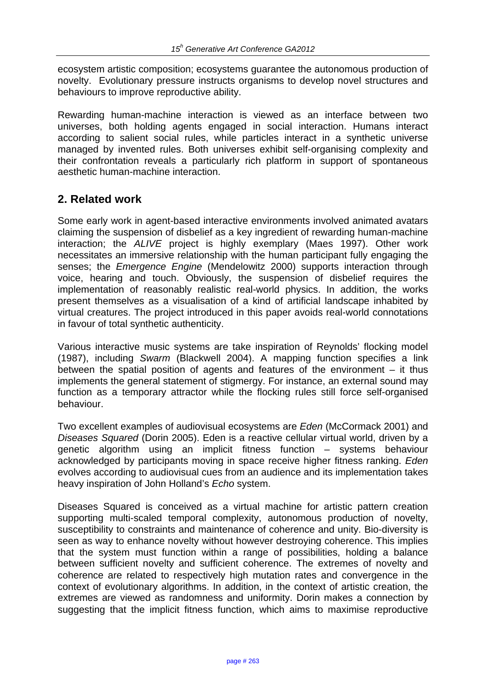ecosystem artistic composition; ecosystems guarantee the autonomous production of novelty. Evolutionary pressure instructs organisms to develop novel structures and behaviours to improve reproductive ability.

Rewarding human-machine interaction is viewed as an interface between two universes, both holding agents engaged in social interaction. Humans interact according to salient social rules, while particles interact in a synthetic universe managed by invented rules. Both universes exhibit self-organising complexity and their confrontation reveals a particularly rich platform in support of spontaneous aesthetic human-machine interaction.

## **2. Related work**

Some early work in agent-based interactive environments involved animated avatars claiming the suspension of disbelief as a key ingredient of rewarding human-machine interaction; the *ALIVE* project is highly exemplary (Maes 1997). Other work necessitates an immersive relationship with the human participant fully engaging the senses; the *Emergence Engine* (Mendelowitz 2000) supports interaction through voice, hearing and touch. Obviously, the suspension of disbelief requires the implementation of reasonably realistic real-world physics. In addition, the works present themselves as a visualisation of a kind of artificial landscape inhabited by virtual creatures. The project introduced in this paper avoids real-world connotations in favour of total synthetic authenticity.

Various interactive music systems are take inspiration of Reynolds' flocking model (1987), including *Swarm* (Blackwell 2004). A mapping function specifies a link between the spatial position of agents and features of the environment – it thus implements the general statement of stigmergy. For instance, an external sound may function as a temporary attractor while the flocking rules still force self-organised behaviour.

Two excellent examples of audiovisual ecosystems are *Eden* (McCormack 2001) and *Diseases Squared* (Dorin 2005). Eden is a reactive cellular virtual world, driven by a genetic algorithm using an implicit fitness function – systems behaviour acknowledged by participants moving in space receive higher fitness ranking. *Eden* evolves according to audiovisual cues from an audience and its implementation takes heavy inspiration of John Holland's *Echo* system.

Diseases Squared is conceived as a virtual machine for artistic pattern creation supporting multi-scaled temporal complexity, autonomous production of novelty, susceptibility to constraints and maintenance of coherence and unity. Bio-diversity is seen as way to enhance novelty without however destroying coherence. This implies that the system must function within a range of possibilities, holding a balance between sufficient novelty and sufficient coherence. The extremes of novelty and coherence are related to respectively high mutation rates and convergence in the context of evolutionary algorithms. In addition, in the context of artistic creation, the extremes are viewed as randomness and uniformity. Dorin makes a connection by suggesting that the implicit fitness function, which aims to maximise reproductive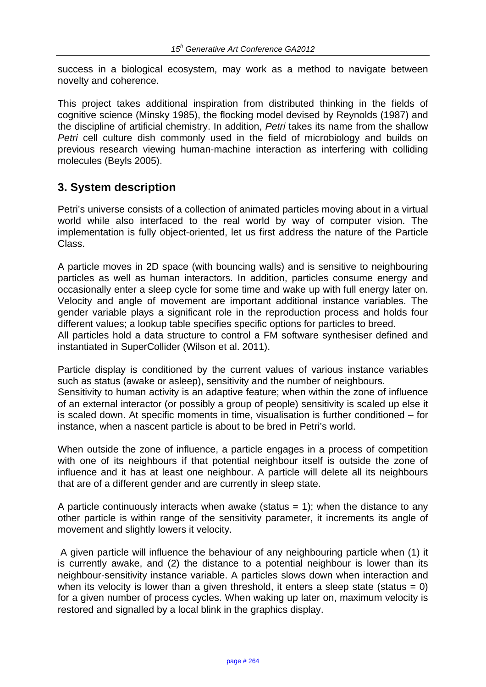success in a biological ecosystem, may work as a method to navigate between novelty and coherence.

This project takes additional inspiration from distributed thinking in the fields of cognitive science (Minsky 1985), the flocking model devised by Reynolds (1987) and the discipline of artificial chemistry. In addition, *Petri* takes its name from the shallow *Petri* cell culture dish commonly used in the field of microbiology and builds on previous research viewing human-machine interaction as interfering with colliding molecules (Beyls 2005).

#### **3. System description**

Petri's universe consists of a collection of animated particles moving about in a virtual world while also interfaced to the real world by way of computer vision. The implementation is fully object-oriented, let us first address the nature of the Particle Class.

A particle moves in 2D space (with bouncing walls) and is sensitive to neighbouring particles as well as human interactors. In addition, particles consume energy and occasionally enter a sleep cycle for some time and wake up with full energy later on. Velocity and angle of movement are important additional instance variables. The gender variable plays a significant role in the reproduction process and holds four different values; a lookup table specifies specific options for particles to breed.

All particles hold a data structure to control a FM software synthesiser defined and instantiated in SuperCollider (Wilson et al. 2011).

Particle display is conditioned by the current values of various instance variables such as status (awake or asleep), sensitivity and the number of neighbours.

Sensitivity to human activity is an adaptive feature; when within the zone of influence of an external interactor (or possibly a group of people) sensitivity is scaled up else it is scaled down. At specific moments in time, visualisation is further conditioned – for instance, when a nascent particle is about to be bred in Petri's world.

When outside the zone of influence, a particle engages in a process of competition with one of its neighbours if that potential neighbour itself is outside the zone of influence and it has at least one neighbour. A particle will delete all its neighbours that are of a different gender and are currently in sleep state.

A particle continuously interacts when awake (status  $= 1$ ); when the distance to any other particle is within range of the sensitivity parameter, it increments its angle of movement and slightly lowers it velocity.

 A given particle will influence the behaviour of any neighbouring particle when (1) it is currently awake, and (2) the distance to a potential neighbour is lower than its neighbour-sensitivity instance variable. A particles slows down when interaction and when its velocity is lower than a given threshold, it enters a sleep state (status  $= 0$ ) for a given number of process cycles. When waking up later on, maximum velocity is restored and signalled by a local blink in the graphics display.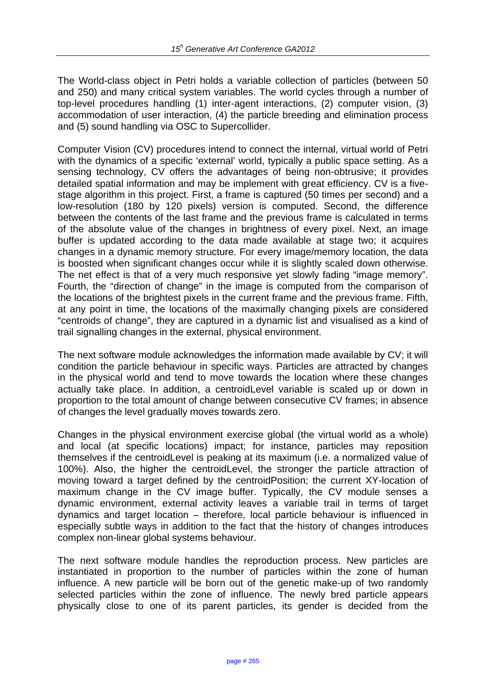The World-class object in Petri holds a variable collection of particles (between 50 and 250) and many critical system variables. The world cycles through a number of top-level procedures handling (1) inter-agent interactions, (2) computer vision, (3) accommodation of user interaction, (4) the particle breeding and elimination process and (5) sound handling via OSC to Supercollider.

Computer Vision (CV) procedures intend to connect the internal, virtual world of Petri with the dynamics of a specific 'external' world, typically a public space setting. As a sensing technology, CV offers the advantages of being non-obtrusive; it provides detailed spatial information and may be implement with great efficiency. CV is a fivestage algorithm in this project. First, a frame is captured (50 times per second) and a low-resolution (180 by 120 pixels) version is computed. Second, the difference between the contents of the last frame and the previous frame is calculated in terms of the absolute value of the changes in brightness of every pixel. Next, an image buffer is updated according to the data made available at stage two; it acquires changes in a dynamic memory structure. For every image/memory location, the data is boosted when significant changes occur while it is slightly scaled down otherwise. The net effect is that of a very much responsive yet slowly fading "image memory". Fourth, the "direction of change" in the image is computed from the comparison of the locations of the brightest pixels in the current frame and the previous frame. Fifth, at any point in time, the locations of the maximally changing pixels are considered "centroids of change", they are captured in a dynamic list and visualised as a kind of trail signalling changes in the external, physical environment.

The next software module acknowledges the information made available by CV; it will condition the particle behaviour in specific ways. Particles are attracted by changes in the physical world and tend to move towards the location where these changes actually take place. In addition, a centroidLevel variable is scaled up or down in proportion to the total amount of change between consecutive CV frames; in absence of changes the level gradually moves towards zero.

Changes in the physical environment exercise global (the virtual world as a whole) and local (at specific locations) impact; for instance, particles may reposition themselves if the centroidLevel is peaking at its maximum (i.e. a normalized value of 100%). Also, the higher the centroidLevel, the stronger the particle attraction of moving toward a target defined by the centroidPosition; the current XY-location of maximum change in the CV image buffer. Typically, the CV module senses a dynamic environment, external activity leaves a variable trail in terms of target dynamics and target location – therefore, local particle behaviour is influenced in especially subtle ways in addition to the fact that the history of changes introduces complex non-linear global systems behaviour.

The next software module handles the reproduction process. New particles are instantiated in proportion to the number of particles within the zone of human influence. A new particle will be born out of the genetic make-up of two randomly selected particles within the zone of influence. The newly bred particle appears physically close to one of its parent particles, its gender is decided from the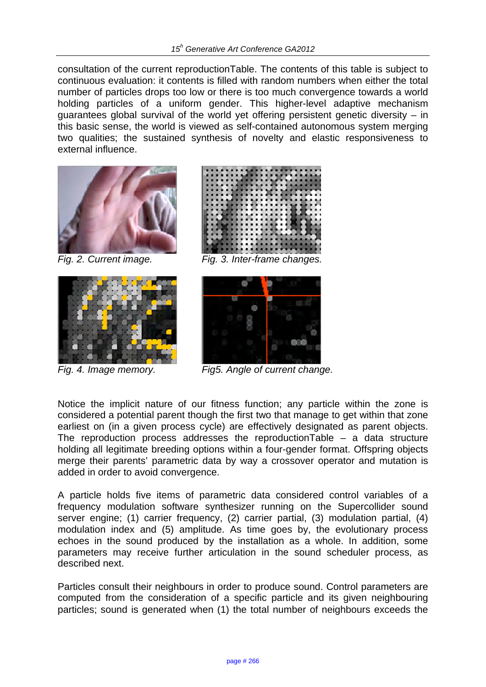consultation of the current reproductionTable. The contents of this table is subject to continuous evaluation: it contents is filled with random numbers when either the total number of particles drops too low or there is too much convergence towards a world holding particles of a uniform gender. This higher-level adaptive mechanism guarantees global survival of the world yet offering persistent genetic diversity – in this basic sense, the world is viewed as self-contained autonomous system merging two qualities; the sustained synthesis of novelty and elastic responsiveness to external influence.







*Fig. 2. Current image. Fig. 3. Inter-frame changes.* 



*Fig. 4. Image memory. Fig5. Angle of current change.* 

Notice the implicit nature of our fitness function; any particle within the zone is considered a potential parent though the first two that manage to get within that zone earliest on (in a given process cycle) are effectively designated as parent objects. The reproduction process addresses the reproduction Table  $-$  a data structure holding all legitimate breeding options within a four-gender format. Offspring objects merge their parents' parametric data by way a crossover operator and mutation is added in order to avoid convergence.

A particle holds five items of parametric data considered control variables of a frequency modulation software synthesizer running on the Supercollider sound server engine; (1) carrier frequency, (2) carrier partial, (3) modulation partial, (4) modulation index and (5) amplitude. As time goes by, the evolutionary process echoes in the sound produced by the installation as a whole. In addition, some parameters may receive further articulation in the sound scheduler process, as described next.

Particles consult their neighbours in order to produce sound. Control parameters are computed from the consideration of a specific particle and its given neighbouring particles; sound is generated when (1) the total number of neighbours exceeds the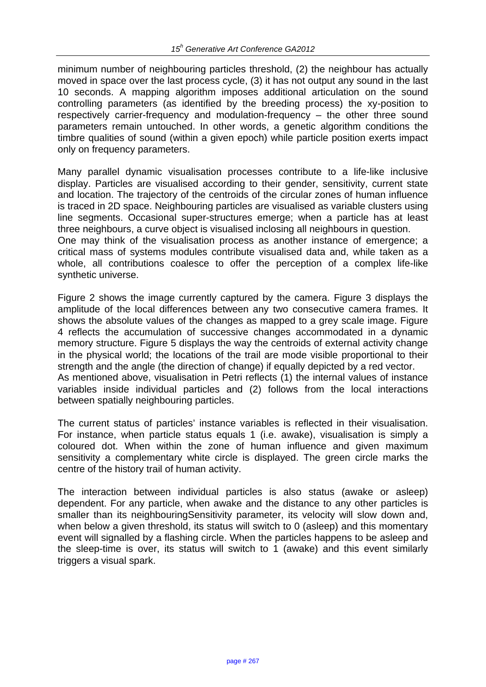minimum number of neighbouring particles threshold, (2) the neighbour has actually moved in space over the last process cycle, (3) it has not output any sound in the last 10 seconds. A mapping algorithm imposes additional articulation on the sound controlling parameters (as identified by the breeding process) the xy-position to respectively carrier-frequency and modulation-frequency – the other three sound parameters remain untouched. In other words, a genetic algorithm conditions the timbre qualities of sound (within a given epoch) while particle position exerts impact only on frequency parameters.

Many parallel dynamic visualisation processes contribute to a life-like inclusive display. Particles are visualised according to their gender, sensitivity, current state and location. The trajectory of the centroids of the circular zones of human influence is traced in 2D space. Neighbouring particles are visualised as variable clusters using line segments. Occasional super-structures emerge; when a particle has at least three neighbours, a curve object is visualised inclosing all neighbours in question. One may think of the visualisation process as another instance of emergence; a critical mass of systems modules contribute visualised data and, while taken as a

whole, all contributions coalesce to offer the perception of a complex life-like synthetic universe. Figure 2 shows the image currently captured by the camera. Figure 3 displays the

amplitude of the local differences between any two consecutive camera frames. It shows the absolute values of the changes as mapped to a grey scale image. Figure 4 reflects the accumulation of successive changes accommodated in a dynamic memory structure. Figure 5 displays the way the centroids of external activity change in the physical world; the locations of the trail are mode visible proportional to their strength and the angle (the direction of change) if equally depicted by a red vector. As mentioned above, visualisation in Petri reflects (1) the internal values of instance variables inside individual particles and (2) follows from the local interactions

The current status of particles' instance variables is reflected in their visualisation. For instance, when particle status equals 1 (i.e. awake), visualisation is simply a coloured dot. When within the zone of human influence and given maximum sensitivity a complementary white circle is displayed. The green circle marks the centre of the history trail of human activity.

between spatially neighbouring particles.

The interaction between individual particles is also status (awake or asleep) dependent. For any particle, when awake and the distance to any other particles is smaller than its neighbouringSensitivity parameter, its velocity will slow down and, when below a given threshold, its status will switch to 0 (asleep) and this momentary event will signalled by a flashing circle. When the particles happens to be asleep and the sleep-time is over, its status will switch to 1 (awake) and this event similarly triggers a visual spark.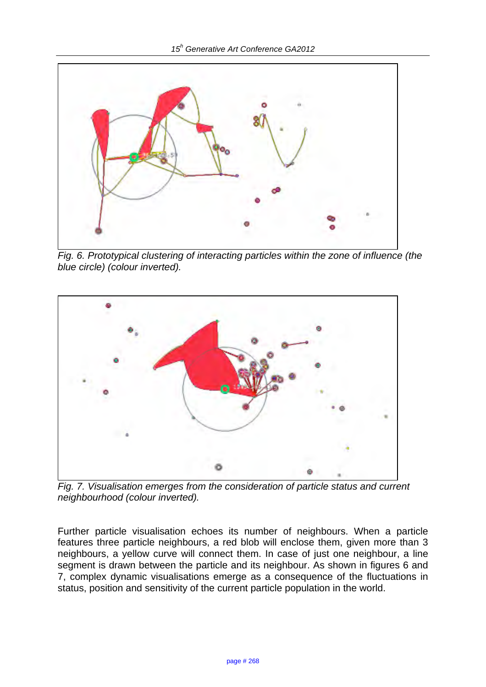

*Fig. 6. Prototypical clustering of interacting particles within the zone of influence (the blue circle) (colour inverted).* 



*Fig. 7. Visualisation emerges from the consideration of particle status and current neighbourhood (colour inverted).* 

Further particle visualisation echoes its number of neighbours. When a particle features three particle neighbours, a red blob will enclose them, given more than 3 neighbours, a yellow curve will connect them. In case of just one neighbour, a line segment is drawn between the particle and its neighbour. As shown in figures 6 and 7, complex dynamic visualisations emerge as a consequence of the fluctuations in status, position and sensitivity of the current particle population in the world.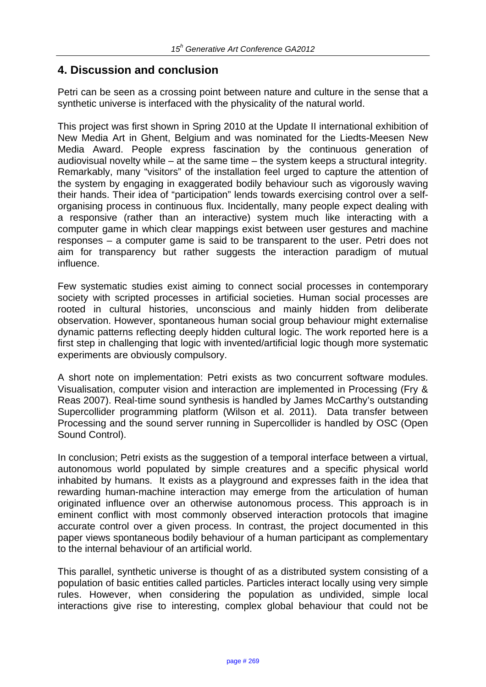#### **4. Discussion and conclusion**

Petri can be seen as a crossing point between nature and culture in the sense that a synthetic universe is interfaced with the physicality of the natural world.

This project was first shown in Spring 2010 at the Update II international exhibition of New Media Art in Ghent, Belgium and was nominated for the Liedts-Meesen New Media Award. People express fascination by the continuous generation of audiovisual novelty while – at the same time – the system keeps a structural integrity. Remarkably, many "visitors" of the installation feel urged to capture the attention of the system by engaging in exaggerated bodily behaviour such as vigorously waving their hands. Their idea of "participation" lends towards exercising control over a selforganising process in continuous flux. Incidentally, many people expect dealing with a responsive (rather than an interactive) system much like interacting with a computer game in which clear mappings exist between user gestures and machine responses – a computer game is said to be transparent to the user. Petri does not aim for transparency but rather suggests the interaction paradigm of mutual influence.

Few systematic studies exist aiming to connect social processes in contemporary society with scripted processes in artificial societies. Human social processes are rooted in cultural histories, unconscious and mainly hidden from deliberate observation. However, spontaneous human social group behaviour might externalise dynamic patterns reflecting deeply hidden cultural logic. The work reported here is a first step in challenging that logic with invented/artificial logic though more systematic experiments are obviously compulsory.

A short note on implementation: Petri exists as two concurrent software modules. Visualisation, computer vision and interaction are implemented in Processing (Fry & Reas 2007). Real-time sound synthesis is handled by James McCarthy's outstanding Supercollider programming platform (Wilson et al. 2011). Data transfer between Processing and the sound server running in Supercollider is handled by OSC (Open Sound Control).

In conclusion; Petri exists as the suggestion of a temporal interface between a virtual, autonomous world populated by simple creatures and a specific physical world inhabited by humans. It exists as a playground and expresses faith in the idea that rewarding human-machine interaction may emerge from the articulation of human originated influence over an otherwise autonomous process. This approach is in eminent conflict with most commonly observed interaction protocols that imagine accurate control over a given process. In contrast, the project documented in this paper views spontaneous bodily behaviour of a human participant as complementary to the internal behaviour of an artificial world.

This parallel, synthetic universe is thought of as a distributed system consisting of a population of basic entities called particles. Particles interact locally using very simple rules. However, when considering the population as undivided, simple local interactions give rise to interesting, complex global behaviour that could not be